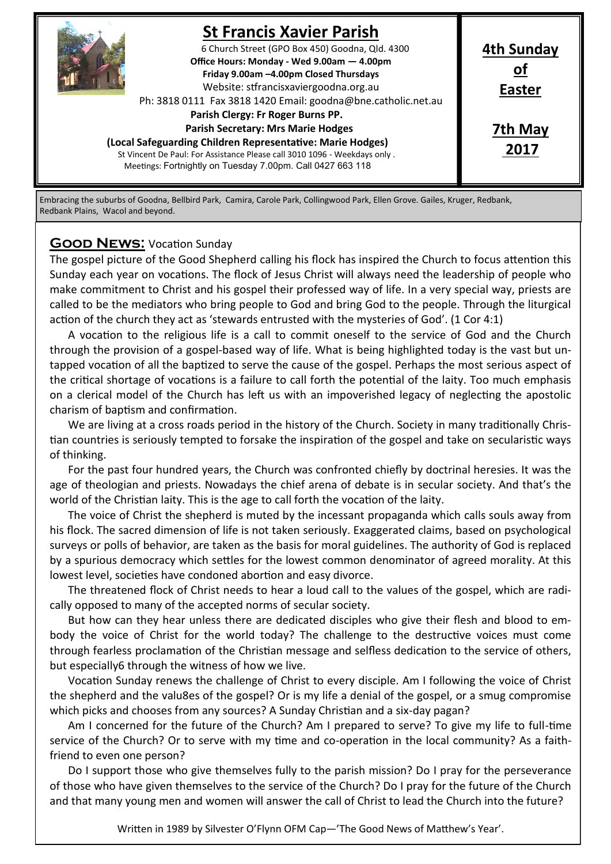

# **St Francis Xavier Parish**

6 Church Street (GPO Box 450) Goodna, Qld. 4300 **Office Hours: Monday - Wed 9.00am — 4.00pm Friday 9.00am –4.00pm Closed Thursdays**  Website: stfrancisxaviergoodna.org.au

Ph: 3818 0111 Fax 3818 1420 Email: goodna@bne.catholic.net.au

 **Parish Clergy: Fr Roger Burns PP.** 

 **Parish Secretary: Mrs Marie Hodges**

**(Local Safeguarding Children Representative: Marie Hodges)** St Vincent De Paul: For Assistance Please call 3010 1096 - Weekdays only . Meetings: Fortnightly on Tuesday 7.00pm. Call 0427 663 118

**Easter 7th May**

**4th Sunday of**

**2017**

Embracing the suburbs of Goodna, Bellbird Park, Camira, Carole Park, Collingwood Park, Ellen Grove. Gailes, Kruger, Redbank, Redbank Plains, Wacol and beyond.

### **Good News:** Vocation Sunday

The gospel picture of the Good Shepherd calling his flock has inspired the Church to focus attention this Sunday each year on vocations. The flock of Jesus Christ will always need the leadership of people who make commitment to Christ and his gospel their professed way of life. In a very special way, priests are called to be the mediators who bring people to God and bring God to the people. Through the liturgical action of the church they act as 'stewards entrusted with the mysteries of God'. (1 Cor 4:1)

A vocation to the religious life is a call to commit oneself to the service of God and the Church through the provision of a gospel-based way of life. What is being highlighted today is the vast but untapped vocation of all the baptized to serve the cause of the gospel. Perhaps the most serious aspect of the critical shortage of vocations is a failure to call forth the potential of the laity. Too much emphasis on a clerical model of the Church has left us with an impoverished legacy of neglecting the apostolic charism of baptism and confirmation.

We are living at a cross roads period in the history of the Church. Society in many traditionally Christian countries is seriously tempted to forsake the inspiration of the gospel and take on secularistic ways of thinking.

For the past four hundred years, the Church was confronted chiefly by doctrinal heresies. It was the age of theologian and priests. Nowadays the chief arena of debate is in secular society. And that's the world of the Christian laity. This is the age to call forth the vocation of the laity.

The voice of Christ the shepherd is muted by the incessant propaganda which calls souls away from his flock. The sacred dimension of life is not taken seriously. Exaggerated claims, based on psychological surveys or polls of behavior, are taken as the basis for moral guidelines. The authority of God is replaced by a spurious democracy which settles for the lowest common denominator of agreed morality. At this lowest level, societies have condoned abortion and easy divorce.

The threatened flock of Christ needs to hear a loud call to the values of the gospel, which are radically opposed to many of the accepted norms of secular society.

But how can they hear unless there are dedicated disciples who give their flesh and blood to embody the voice of Christ for the world today? The challenge to the destructive voices must come through fearless proclamation of the Christian message and selfless dedication to the service of others, but especially6 through the witness of how we live.

Vocation Sunday renews the challenge of Christ to every disciple. Am I following the voice of Christ the shepherd and the valu8es of the gospel? Or is my life a denial of the gospel, or a smug compromise which picks and chooses from any sources? A Sunday Christian and a six-day pagan?

Am I concerned for the future of the Church? Am I prepared to serve? To give my life to full-time service of the Church? Or to serve with my time and co-operation in the local community? As a faithfriend to even one person?

Do I support those who give themselves fully to the parish mission? Do I pray for the perseverance of those who have given themselves to the service of the Church? Do I pray for the future of the Church and that many young men and women will answer the call of Christ to lead the Church into the future?

Written in 1989 by Silvester O'Flynn OFM Cap—'The Good News of Matthew's Year'.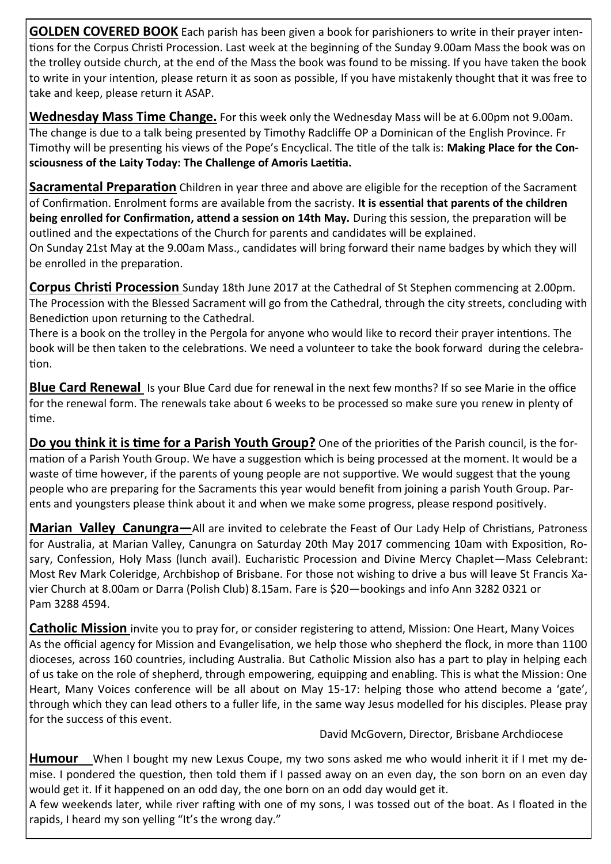**GOLDEN COVERED BOOK** Each parish has been given a book for parishioners to write in their prayer intentions for the Corpus Christi Procession. Last week at the beginning of the Sunday 9.00am Mass the book was on the trolley outside church, at the end of the Mass the book was found to be missing. If you have taken the book to write in your intention, please return it as soon as possible, If you have mistakenly thought that it was free to take and keep, please return it ASAP.

**Wednesday Mass Time Change.** For this week only the Wednesday Mass will be at 6.00pm not 9.00am. The change is due to a talk being presented by Timothy Radcliffe OP a Dominican of the English Province. Fr Timothy will be presenting his views of the Pope's Encyclical. The title of the talk is: **Making Place for the Consciousness of the Laity Today: The Challenge of Amoris Laetitia.**

**Sacramental Preparation** Children in year three and above are eligible for the reception of the Sacrament of Confirmation. Enrolment forms are available from the sacristy. **It is essential that parents of the children being enrolled for Confirmation, attend a session on 14th May.** During this session, the preparation will be outlined and the expectations of the Church for parents and candidates will be explained.

On Sunday 21st May at the 9.00am Mass., candidates will bring forward their name badges by which they will be enrolled in the preparation.

**Corpus Christi Procession** Sunday 18th June 2017 at the Cathedral of St Stephen commencing at 2.00pm. The Procession with the Blessed Sacrament will go from the Cathedral, through the city streets, concluding with Benediction upon returning to the Cathedral.

There is a book on the trolley in the Pergola for anyone who would like to record their prayer intentions. The book will be then taken to the celebrations. We need a volunteer to take the book forward during the celebration.

**Blue Card Renewal** Is your Blue Card due for renewal in the next few months? If so see Marie in the office for the renewal form. The renewals take about 6 weeks to be processed so make sure you renew in plenty of time.

**Do you think it is time for a Parish Youth Group?** One of the priorities of the Parish council, is the formation of a Parish Youth Group. We have a suggestion which is being processed at the moment. It would be a waste of time however, if the parents of young people are not supportive. We would suggest that the young people who are preparing for the Sacraments this year would benefit from joining a parish Youth Group. Parents and youngsters please think about it and when we make some progress, please respond positively.

**Marian Valley Canungra—**All are invited to celebrate the Feast of Our Lady Help of Christians, Patroness for Australia, at Marian Valley, Canungra on Saturday 20th May 2017 commencing 10am with Exposition, Rosary, Confession, Holy Mass (lunch avail). Eucharistic Procession and Divine Mercy Chaplet—Mass Celebrant: Most Rev Mark Coleridge, Archbishop of Brisbane. For those not wishing to drive a bus will leave St Francis Xavier Church at 8.00am or Darra (Polish Club) 8.15am. Fare is \$20—bookings and info Ann 3282 0321 or Pam 3288 4594.

**Catholic Mission** invite you to pray for, or consider registering to attend, Mission: One Heart, Many Voices As the official agency for Mission and Evangelisation, we help those who shepherd the flock, in more than 1100 dioceses, across 160 countries, including Australia. But Catholic Mission also has a part to play in helping each of us take on the role of shepherd, through empowering, equipping and enabling. This is what the Mission: One Heart, Many Voices conference will be all about on May 15-17: helping those who attend become a 'gate', through which they can lead others to a fuller life, in the same way Jesus modelled for his disciples. Please pray for the success of this event.

David McGovern, Director, Brisbane Archdiocese

**Humour** When I bought my new Lexus Coupe, my two sons asked me who would inherit it if I met my demise. I pondered the question, then told them if I passed away on an even day, the son born on an even day would get it. If it happened on an odd day, the one born on an odd day would get it.

A few weekends later, while river rafting with one of my sons, I was tossed out of the boat. As I floated in the rapids, I heard my son yelling "It's the wrong day."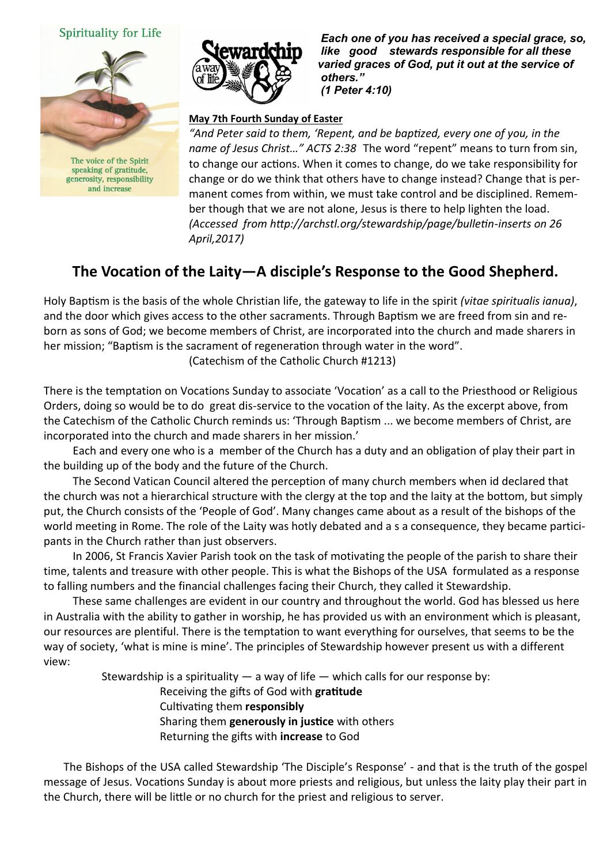### **Spirituality for Life**



and increase



 *Each one of you has received a special grace, so, like good stewards responsible for all these varied graces of God, put it out at the service of others." (1 Peter 4:10)* 

#### **May 7th Fourth Sunday of Easter**

*"And Peter said to them, 'Repent, and be baptized, every one of you, in the name of Jesus Christ…" ACTS 2:38* The word "repent" means to turn from sin, to change our actions. When it comes to change, do we take responsibility for change or do we think that others have to change instead? Change that is permanent comes from within, we must take control and be disciplined. Remember though that we are not alone, Jesus is there to help lighten the load. *(Accessed from http://archstl.org/stewardship/page/bulletin-inserts on 26 April,2017)*

# **The Vocation of the Laity—A disciple's Response to the Good Shepherd.**

Holy Baptism is the basis of the whole Christian life, the gateway to life in the spirit *(vitae spiritualis ianua)*, and the door which gives access to the other sacraments. Through Baptism we are freed from sin and reborn as sons of God; we become members of Christ, are incorporated into the church and made sharers in her mission; "Baptism is the sacrament of regeneration through water in the word".

(Catechism of the Catholic Church #1213)

There is the temptation on Vocations Sunday to associate 'Vocation' as a call to the Priesthood or Religious Orders, doing so would be to do great dis-service to the vocation of the laity. As the excerpt above, from the Catechism of the Catholic Church reminds us: 'Through Baptism ... we become members of Christ, are incorporated into the church and made sharers in her mission.'

Each and every one who is a member of the Church has a duty and an obligation of play their part in the building up of the body and the future of the Church.

The Second Vatican Council altered the perception of many church members when id declared that the church was not a hierarchical structure with the clergy at the top and the laity at the bottom, but simply put, the Church consists of the 'People of God'. Many changes came about as a result of the bishops of the world meeting in Rome. The role of the Laity was hotly debated and a s a consequence, they became participants in the Church rather than just observers.

In 2006, St Francis Xavier Parish took on the task of motivating the people of the parish to share their time, talents and treasure with other people. This is what the Bishops of the USA formulated as a response to falling numbers and the financial challenges facing their Church, they called it Stewardship.

These same challenges are evident in our country and throughout the world. God has blessed us here in Australia with the ability to gather in worship, he has provided us with an environment which is pleasant, our resources are plentiful. There is the temptation to want everything for ourselves, that seems to be the way of society, 'what is mine is mine'. The principles of Stewardship however present us with a different view:

Stewardship is a spirituality  $-$  a way of life  $-$  which calls for our response by:

Receiving the gifts of God with **gratitude**

Cultivating them **responsibly**

Sharing them **generously in justice** with others

Returning the gifts with **increase** to God

The Bishops of the USA called Stewardship 'The Disciple's Response' - and that is the truth of the gospel message of Jesus. Vocations Sunday is about more priests and religious, but unless the laity play their part in the Church, there will be little or no church for the priest and religious to server.